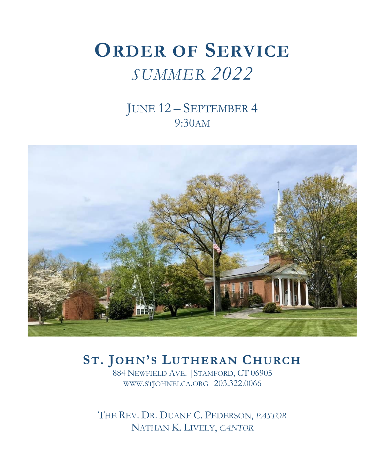# **ORDER OF SERVICE** *SUMMER 2022*

## JUNE 12 – SEPTEMBER 4 9:30AM



## **ST. JOHN'S LUTHERAN CHURCH**

884 NEWFIELD AVE. |STAMFORD, CT 06905 WWW.STJOHNELCA.ORG 203.322.0066

THE REV. DR. DUANE C. PEDERSON, *PASTOR* NATHAN K. LIVELY, *CANTOR*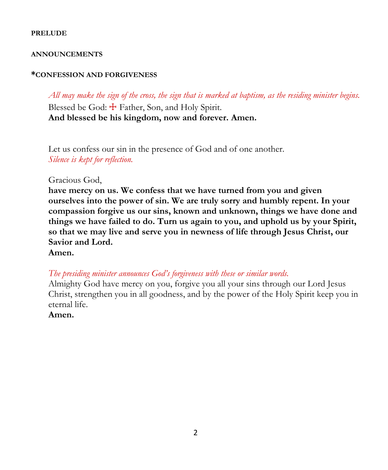#### **PRELUDE**

#### **ANNOUNCEMENTS**

#### **\*CONFESSION AND FORGIVENESS**

*All may make the sign of the cross, the sign that is marked at baptism, as the residing minister begins.* Blessed be God:  $\pm$  Father, Son, and Holy Spirit. **And blessed be his kingdom, now and forever. Amen.**

Let us confess our sin in the presence of God and of one another. *Silence is kept for reflection.*

#### Gracious God,

**have mercy on us. We confess that we have turned from you and given ourselves into the power of sin. We are truly sorry and humbly repent. In your compassion forgive us our sins, known and unknown, things we have done and things we have failed to do. Turn us again to you, and uphold us by your Spirit, so that we may live and serve you in newness of life through Jesus Christ, our Savior and Lord.**

#### **Amen.**

*The presiding minister announces God's forgiveness with these or similar words.*

Almighty God have mercy on you, forgive you all your sins through our Lord Jesus Christ, strengthen you in all goodness, and by the power of the Holy Spirit keep you in eternal life.

#### **Amen.**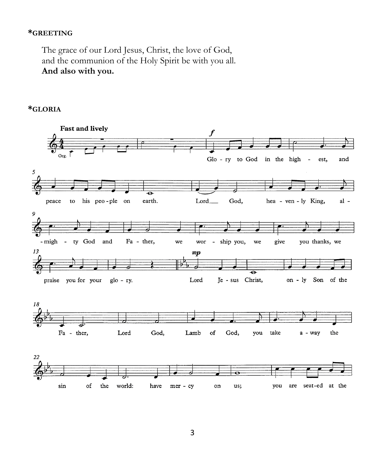#### **\*GREETING**

The grace of our Lord Jesus, Christ, the love of God, and the communion of the Holy Spirit be with you all. **And also with you.**

#### **\*GLORIA**

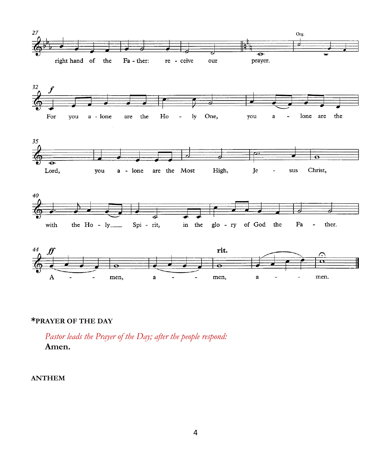









#### **\*PRAYER OF THE DAY**

*Pastor leads the Prayer of the Day; after the people respond:* **Amen.**

#### **ANTHEM**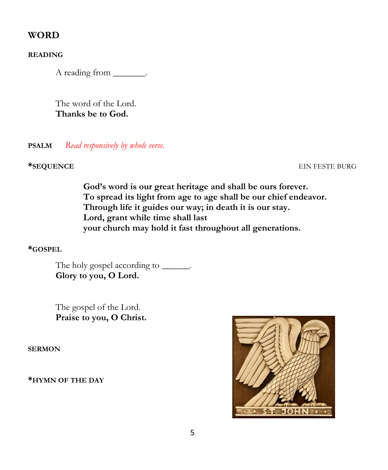### **WORD**

**READING**

A reading from \_\_\_\_\_\_\_.

The word of the Lord. **Thanks be to God.**

**PSALM** *Read responsively by whole verse.*

#### **\*SEQUENCE** EIN FESTE BURG

**God's word is our great heritage and shall be ours forever. To spread its light from age to age shall be our chief endeavor. Through life it guides our way; in death it is our stay. Lord, grant while time shall last your church may hold it fast throughout all generations.**

#### **\*GOSPEL**

The holy gospel according to \_\_\_\_\_\_. **Glory to you, O Lord.**

The gospel of the Lord. **Praise to you, O Christ.**

**SERMON**

**\*HYMN OF THE DAY** 

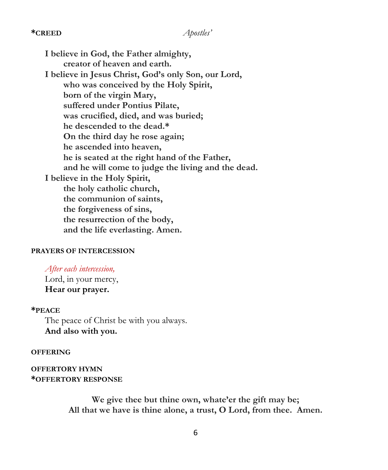#### **\*CREED** *Apostles'*

**I believe in God, the Father almighty, creator of heaven and earth. I believe in Jesus Christ, God's only Son, our Lord, who was conceived by the Holy Spirit, born of the virgin Mary, suffered under Pontius Pilate, was crucified, died, and was buried; he descended to the dead.\* On the third day he rose again; he ascended into heaven, he is seated at the right hand of the Father, and he will come to judge the living and the dead. I believe in the Holy Spirit, the holy catholic church, the communion of saints, the forgiveness of sins, the resurrection of the body, and the life everlasting. Amen.**

#### **PRAYERS OF INTERCESSION**

*After each intercession,*  Lord, in your mercy, **Hear our prayer.**

#### **\*PEACE**

The peace of Christ be with you always. **And also with you.**

#### **OFFERING**

**OFFERTORY HYMN \*OFFERTORY RESPONSE**

> **We give thee but thine own, whate'er the gift may be; All that we have is thine alone, a trust, O Lord, from thee. Amen.**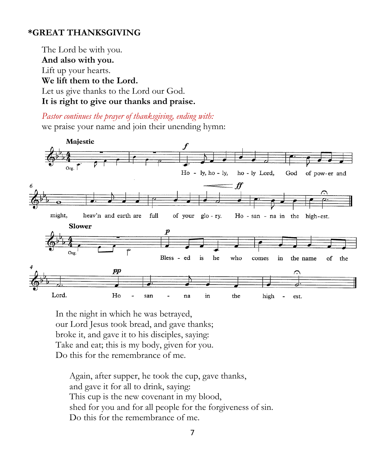### **\*GREAT THANKSGIVING**

The Lord be with you. **And also with you.** Lift up your hearts. **We lift them to the Lord.** Let us give thanks to the Lord our God. **It is right to give our thanks and praise.**

*Pastor continues the prayer of thanksgiving, ending with:*  we praise your name and join their unending hymn:



In the night in which he was betrayed, our Lord Jesus took bread, and gave thanks; broke it, and gave it to his disciples, saying: Take and eat; this is my body, given for you. Do this for the remembrance of me.

Again, after supper, he took the cup, gave thanks, and gave it for all to drink, saying: This cup is the new covenant in my blood, shed for you and for all people for the forgiveness of sin. Do this for the remembrance of me.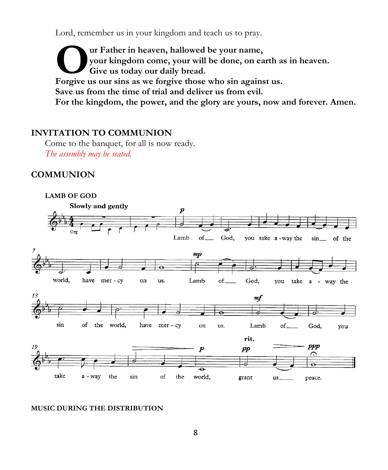Lord, remember us in your kingdom and teach us to pray.

**ur Father in heaven, hallowed be your name, your kingdom come, your will be done, on earth as in heaven. Give us today our daily bread. Forgive us to the in heaven, hallowed be your name,**<br> **O** cive us today our daily bread.<br> **Forgive us our sins as we forgive those who sin against us. Save us from the time of trial and deliver us from evil. For the kingdom, the power, and the glory are yours, now and forever. Amen.**

### **INVITATION TO COMMUNION**

Come to the banquet, for all is now ready. *The assembly may be seated.* 

#### **COMMUNION**



#### **MUSIC DURING THE DISTRIBUTION**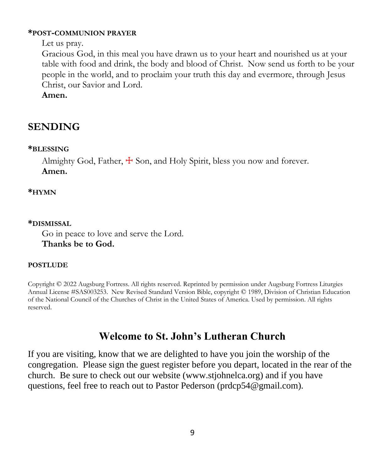#### **\*POST-COMMUNION PRAYER**

Let us pray.

Gracious God, in this meal you have drawn us to your heart and nourished us at your table with food and drink, the body and blood of Christ. Now send us forth to be your people in the world, and to proclaim your truth this day and evermore, through Jesus Christ, our Savior and Lord.

**Amen.**

## **SENDING**

#### **\*BLESSING**

Almighty God, Father,  $\pm$  Son, and Holy Spirit, bless you now and forever. **Amen.**

#### **\*HYMN**

#### **\*DISMISSAL**

Go in peace to love and serve the Lord. **Thanks be to God.**

#### **POSTLUDE**

Copyright © 2022 Augsburg Fortress. All rights reserved. Reprinted by permission under Augsburg Fortress Liturgies Annual License #SAS003253. New Revised Standard Version Bible, copyright © 1989, Division of Christian Education of the National Council of the Churches of Christ in the United States of America. Used by permission. All rights reserved.

### **Welcome to St. John's Lutheran Church**

If you are visiting, know that we are delighted to have you join the worship of the congregation. Please sign the guest register before you depart, located in the rear of the church. Be sure to check out our website (www.stjohnelca.org) and if you have questions, feel free to reach out to Pastor Pederson (prdcp54@gmail.com).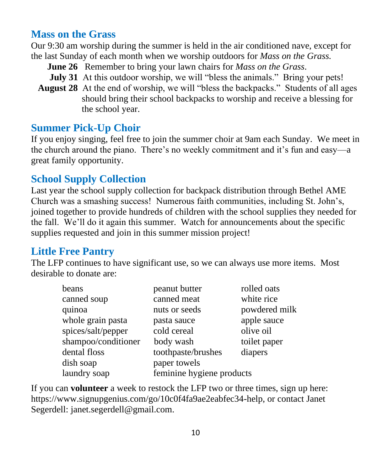## **Mass on the Grass**

Our 9:30 am worship during the summer is held in the air conditioned nave, except for the last Sunday of each month when we worship outdoors for *Mass on the Grass.*

- **June 26** Remember to bring your lawn chairs for *Mass on the Grass*.
- **July 31** At this outdoor worship, we will "bless the animals." Bring your pets!
- **August 28** At the end of worship, we will "bless the backpacks." Students of all ages should bring their school backpacks to worship and receive a blessing for the school year.

### **Summer Pick-Up Choir**

If you enjoy singing, feel free to join the summer choir at 9am each Sunday. We meet in the church around the piano. There's no weekly commitment and it's fun and easy—a great family opportunity.

### **School Supply Collection**

Last year the school supply collection for backpack distribution through Bethel AME Church was a smashing success! Numerous faith communities, including St. John's, joined together to provide hundreds of children with the school supplies they needed for the fall. We'll do it again this summer. Watch for announcements about the specific supplies requested and join in this summer mission project!

## **Little Free Pantry**

The LFP continues to have significant use, so we can always use more items. Most desirable to donate are:

| beans               | peanut butter             | rolled oats   |
|---------------------|---------------------------|---------------|
| canned soup         | canned meat               | white rice    |
| quinoa              | nuts or seeds             | powdered milk |
| whole grain pasta   | pasta sauce               | apple sauce   |
| spices/salt/pepper  | cold cereal               | olive oil     |
| shampoo/conditioner | body wash                 | toilet paper  |
| dental floss        | toothpaste/brushes        | diapers       |
| dish soap           | paper towels              |               |
| laundry soap        | feminine hygiene products |               |

If you can **volunteer** a week to restock the LFP two or three times, sign up here: [https://www.signupgenius.com/go/10c0f4fa9ae2eabfec34-help,](https://www.signupgenius.com/go/10c0f4fa9ae2eabfec34-help) or contact Janet Segerdell: [janet.segerdell@gmail.com.](mailto:janet.segerdell@gmail.com)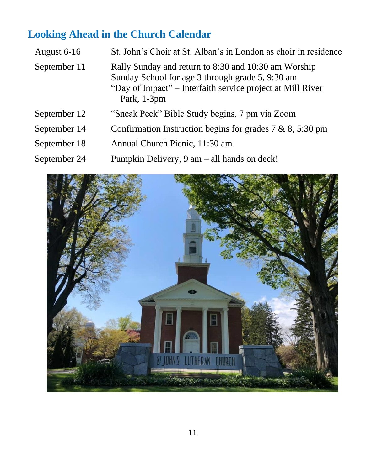# **Looking Ahead in the Church Calendar**

| August 6-16  | St. John's Choir at St. Alban's in London as choir in residence                                                                                                                       |
|--------------|---------------------------------------------------------------------------------------------------------------------------------------------------------------------------------------|
| September 11 | Rally Sunday and return to 8:30 and 10:30 am Worship<br>Sunday School for age 3 through grade 5, 9:30 am<br>"Day of Impact" – Interfaith service project at Mill River<br>Park, 1-3pm |
| September 12 | "Sneak Peek" Bible Study begins, 7 pm via Zoom                                                                                                                                        |
| September 14 | Confirmation Instruction begins for grades $7 & 8, 5:30 \text{ pm}$                                                                                                                   |
| September 18 | Annual Church Picnic, 11:30 am                                                                                                                                                        |
| September 24 | Pumpkin Delivery, $9 \text{ am } -$ all hands on deck!                                                                                                                                |